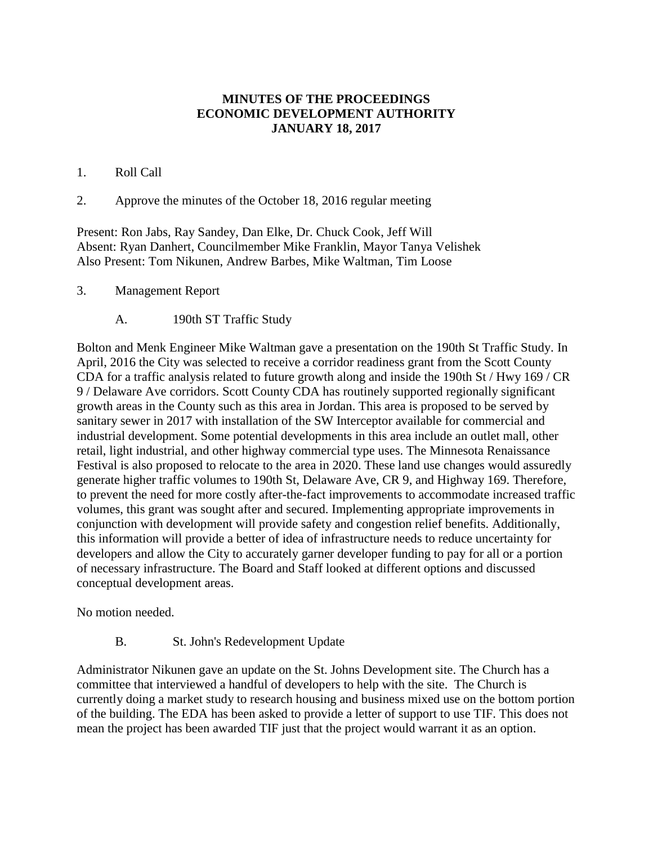## **MINUTES OF THE PROCEEDINGS ECONOMIC DEVELOPMENT AUTHORITY JANUARY 18, 2017**

## 1. Roll Call

2. Approve the minutes of the October 18, 2016 regular meeting

Present: Ron Jabs, Ray Sandey, Dan Elke, Dr. Chuck Cook, Jeff Will Absent: Ryan Danhert, Councilmember Mike Franklin, Mayor Tanya Velishek Also Present: Tom Nikunen, Andrew Barbes, Mike Waltman, Tim Loose

- 3. Management Report
	- A. 190th ST Traffic Study

Bolton and Menk Engineer Mike Waltman gave a presentation on the 190th St Traffic Study. In April, 2016 the City was selected to receive a corridor readiness grant from the Scott County CDA for a traffic analysis related to future growth along and inside the 190th St / Hwy 169 / CR 9 / Delaware Ave corridors. Scott County CDA has routinely supported regionally significant growth areas in the County such as this area in Jordan. This area is proposed to be served by sanitary sewer in 2017 with installation of the SW Interceptor available for commercial and industrial development. Some potential developments in this area include an outlet mall, other retail, light industrial, and other highway commercial type uses. The Minnesota Renaissance Festival is also proposed to relocate to the area in 2020. These land use changes would assuredly generate higher traffic volumes to 190th St, Delaware Ave, CR 9, and Highway 169. Therefore, to prevent the need for more costly after-the-fact improvements to accommodate increased traffic volumes, this grant was sought after and secured. Implementing appropriate improvements in conjunction with development will provide safety and congestion relief benefits. Additionally, this information will provide a better of idea of infrastructure needs to reduce uncertainty for developers and allow the City to accurately garner developer funding to pay for all or a portion of necessary infrastructure. The Board and Staff looked at different options and discussed conceptual development areas.

No motion needed.

B. St. John's Redevelopment Update

Administrator Nikunen gave an update on the St. Johns Development site. The Church has a committee that interviewed a handful of developers to help with the site. The Church is currently doing a market study to research housing and business mixed use on the bottom portion of the building. The EDA has been asked to provide a letter of support to use TIF. This does not mean the project has been awarded TIF just that the project would warrant it as an option.